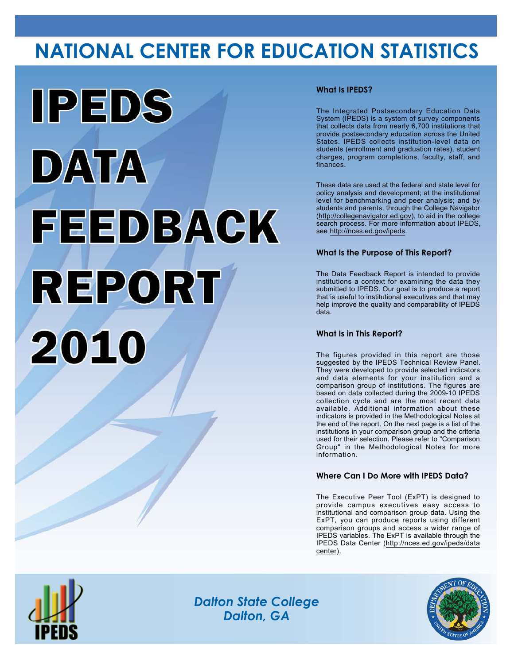# **NATIONAL CENTER FOR EDUCATION STATISTICS**



## **What Is IPEDS?**

The Integrated Postsecondary Education Data System (IPEDS) is a system of survey components that collects data from nearly 6,700 institutions that provide postsecondary education across the United States. IPEDS collects institution-level data on students (enrollment and graduation rates), student charges, program completions, faculty, staff, and finances.

These data are used at the federal and state level for policy analysis and development; at the institutional level for benchmarking and peer analysis; and by students and parents, through the College Navigator (<http://collegenavigator.ed.gov>), to aid in the college search process. For more information about IPEDS, see [http://nces.ed.gov/ipeds.](http://nces.ed.gov/ipeds)

## **What Is the Purpose of This Report?**

The Data Feedback Report is intended to provide institutions a context for examining the data they submitted to IPEDS. Our goal is to produce a report that is useful to institutional executives and that may help improve the quality and comparability of IPEDS data.

### **What Is in This Report?**

The figures provided in this report are those suggested by the IPEDS Technical Review Panel. They were developed to provide selected indicators and data elements for your institution and a comparison group of institutions. The figures are based on data collected during the 2009-10 IPEDS collection cycle and are the most recent data available. Additional information about these indicators is provided in the Methodological Notes at the end of the report. On the next page is a list of the institutions in your comparison group and the criteria used for their selection. Please refer to "Comparison Group" in the Methodological Notes for more information.

### **Where Can I Do More with IPEDS Data?**

The Executive Peer Tool (ExPT) is designed to provide campus executives easy access to institutional and comparison group data. Using the ExPT, you can produce reports using different comparison groups and access a wider range of IPEDS variables. The ExPT is available through the IPEDS Data Center ([http://nces.ed.gov/ipeds/data](http://nces.ed.gov/ipeds/datacenter) [center](http://nces.ed.gov/ipeds/datacenter)).



Image description. Cover Image End of image description.

*Dalton State College Dalton, GA*

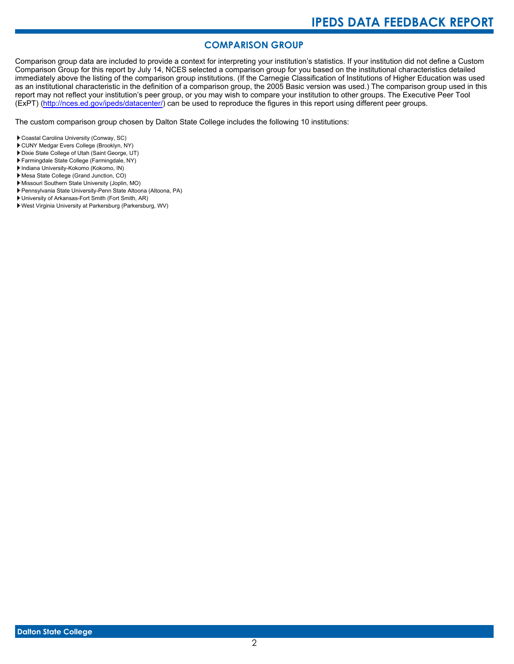# **COMPARISON GROUP**

Comparison group data are included to provide a context for interpreting your institution's statistics. If your institution did not define a Custom Comparison Group for this report by July 14, NCES selected a comparison group for you based on the institutional characteristics detailed immediately above the listing of the comparison group institutions. (If the Carnegie Classification of Institutions of Higher Education was used as an institutional characteristic in the definition of a comparison group, the 2005 Basic version was used.) The comparison group used in this report may not reflect your institution's peer group, or you may wish to compare your institution to other groups. The Executive Peer Tool (ExPT) [\(http://nces.ed.gov/ipeds/datacenter/\)](http://nces.ed.gov/ipeds/datacenter/) can be used to reproduce the figures in this report using different peer groups.

The custom comparison group chosen by Dalton State College includes the following 10 institutions:

- Coastal Carolina University (Conway, SC)
- CUNY Medgar Evers College (Brooklyn, NY)
- Dixie State College of Utah (Saint George, UT)
- Farmingdale State College (Farmingdale, NY)
- Indiana University-Kokomo (Kokomo, IN)
- Mesa State College (Grand Junction, CO)
- Missouri Southern State University (Joplin, MO)
- Pennsylvania State University-Penn State Altoona (Altoona, PA)
- University of Arkansas-Fort Smith (Fort Smith, AR)
- West Virginia University at Parkersburg (Parkersburg, WV)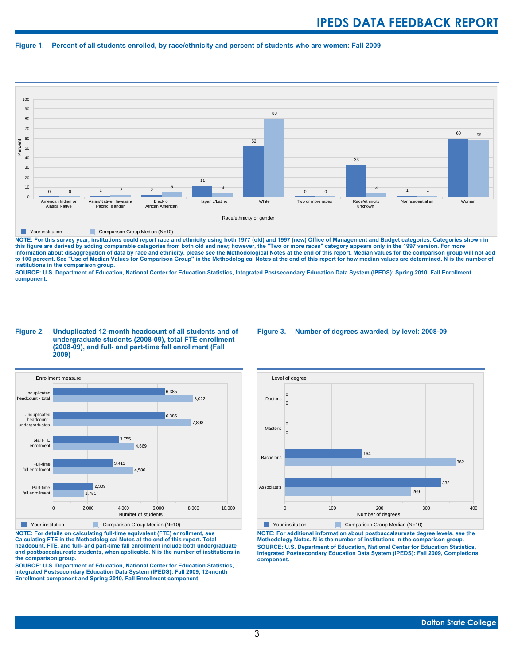#### **Figure 1. Percent of all students enrolled, by race/ethnicity and percent of students who are women: Fall 2009**



**The Comparison Group Median (N=10)** Comparison Group Median (N=10)

NOTE: For this survey year, institutions could report race and ethnicity using both 1977 (old) and 1997 (new) Office of Management and Budget categories. Categories shown in<br>this figure are derived by adding comparable cat **information about disaggregation of data by race and ethnicity, please see the Methodological Notes at the end of this report. Median values for the comparison group will not add to 100 percent. See "Use of Median Values for Comparison Group" in the Methodological Notes at the end of this report for how median values are determined. N is the number of institutions in the comparison group.**

**SOURCE: U.S. Department of Education, National Center for Education Statistics, Integrated Postsecondary Education Data System (IPEDS): Spring 2010, Fall Enrollment component.**

#### **Figure 2. Unduplicated 12-month headcount of all students and of undergraduate students (2008-09), total FTE enrollment (2008-09), and full- and part-time fall enrollment (Fall 2009)**



**The Comparison Group Median (N=10)** Comparison Group Median (N=10)

**NOTE: For details on calculating full-time equivalent (FTE) enrollment, see Calculating FTE in the Methodological Notes at the end of this report. Total headcount, FTE, and full- and part-time fall enrollment include both undergraduate and postbaccalaureate students, when applicable. N is the number of institutions in the comparison group.**

**SOURCE: U.S. Department of Education, National Center for Education Statistics, Integrated Postsecondary Education Data System (IPEDS): Fall 2009, 12-month Enrollment component and Spring 2010, Fall Enrollment component.**

#### **Figure 3. Number of degrees awarded, by level: 2008-09**



**The Comparison Group Median (N=10)** Comparison Group Median (N=10) **NOTE: For additional information about postbaccalaureate degree levels, see the Methodology Notes. N is the number of institutions in the comparison group. SOURCE: U.S. Department of Education, National Center for Education Statistics, Integrated Postsecondary Education Data System (IPEDS): Fall 2009, Completions component.**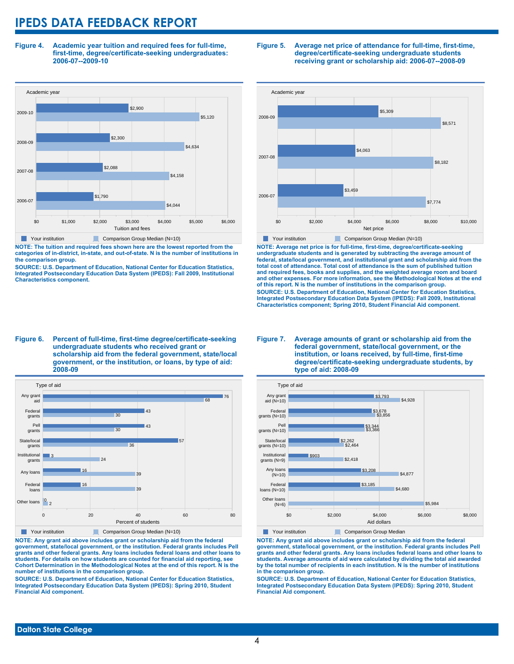**Figure 4. Academic year tuition and required fees for full-time, first-time, degree/certificate-seeking undergraduates: 2006-07--2009-10**



**NOTE: The tuition and required fees shown here are the lowest reported from the categories of in-district, in-state, and out-of-state. N is the number of institutions in the comparison group.**

**SOURCE: U.S. Department of Education, National Center for Education Statistics, Integrated Postsecondary Education Data System (IPEDS): Fall 2009, Institutional Characteristics component.**

#### **Figure 5. Average net price of attendance for full-time, first-time, degree/certificate-seeking undergraduate students receiving grant or scholarship aid: 2006-07--2008-09**



**NOTE: Average net price is for full-time, first-time, degree/certificate-seeking undergraduate students and is generated by subtracting the average amount of federal, state/local government, and institutional grant and scholarship aid from the total cost of attendance. Total cost of attendance is the sum of published tuition and required fees, books and supplies, and the weighted average room and board and other expenses. For more information, see the Methodological Notes at the end of this report. N is the number of institutions in the comparison group. SOURCE: U.S. Department of Education, National Center for Education Statistics, Integrated Postsecondary Education Data System (IPEDS): Fall 2009, Institutional Characteristics component; Spring 2010, Student Financial Aid component.**

#### **Figure 6. Percent of full-time, first-time degree/certificate-seeking undergraduate students who received grant or scholarship aid from the federal government, state/local government, or the institution, or loans, by type of aid: 2008-09**



**NOTE: Any grant aid above includes grant or scholarship aid from the federal government, state/local government, or the institution. Federal grants includes Pell grants and other federal grants. Any loans includes federal loans and other loans to students. For details on how students are counted for financial aid reporting, see Cohort Determination in the Methodological Notes at the end of this report. N is the number of institutions in the comparison group.**

**SOURCE: U.S. Department of Education, National Center for Education Statistics, Integrated Postsecondary Education Data System (IPEDS): Spring 2010, Student Financial Aid component.**

#### **Figure 7. Average amounts of grant or scholarship aid from the federal government, state/local government, or the institution, or loans received, by full-time, first-time degree/certificate-seeking undergraduate students, by type of aid: 2008-09**



**NOTE: Any grant aid above includes grant or scholarship aid from the federal government, state/local government, or the institution. Federal grants includes Pell grants and other federal grants. Any loans includes federal loans and other loans to students. Average amounts of aid were calculated by dividing the total aid awarded by the total number of recipients in each institution. N is the number of institutions in the comparison group.**

**SOURCE: U.S. Department of Education, National Center for Education Statistics, Integrated Postsecondary Education Data System (IPEDS): Spring 2010, Student Financial Aid component.**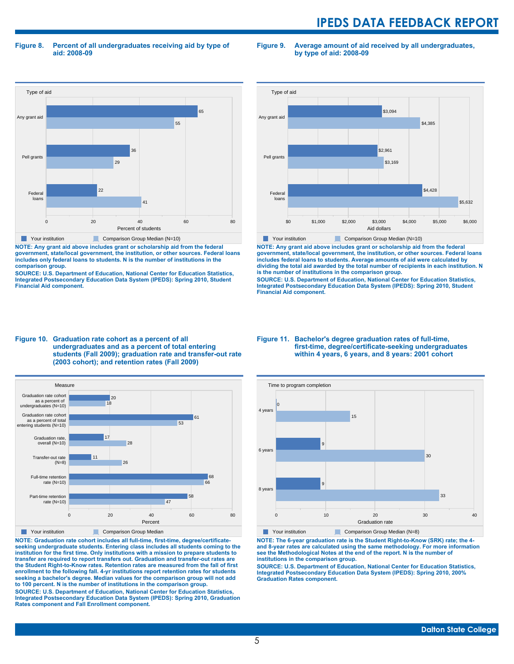**Figure 8. Percent of all undergraduates receiving aid by type of aid: 2008-09**

**Figure 9. Average amount of aid received by all undergraduates, by type of aid: 2008-09**



**NOTE: Any grant aid above includes grant or scholarship aid from the federal government, state/local government, the institution, or other sources. Federal loans includes only federal loans to students. N is the number of institutions in the comparison group.**

**SOURCE: U.S. Department of Education, National Center for Education Statistics, Integrated Postsecondary Education Data System (IPEDS): Spring 2010, Student Financial Aid component.**



**NOTE: Any grant aid above includes grant or scholarship aid from the federal government, state/local government, the institution, or other sources. Federal loans includes federal loans to students. Average amounts of aid were calculated by dividing the total aid awarded by the total number of recipients in each institution. N is the number of institutions in the comparison group.**

**SOURCE: U.S. Department of Education, National Center for Education Statistics, Integrated Postsecondary Education Data System (IPEDS): Spring 2010, Student Financial Aid component.**





**NOTE: Graduation rate cohort includes all full-time, first-time, degree/certificateseeking undergraduate students. Entering class includes all students coming to the institution for the first time. Only institutions with a mission to prepare students to transfer are required to report transfers out. Graduation and transfer-out rates are the Student Right-to-Know rates. Retention rates are measured from the fall of first enrollment to the following fall. 4-yr institutions report retention rates for students seeking a bachelor's degree. Median values for the comparison group will not add to 100 percent. N is the number of institutions in the comparison group.**

**SOURCE: U.S. Department of Education, National Center for Education Statistics, Integrated Postsecondary Education Data System (IPEDS): Spring 2010, Graduation Rates component and Fall Enrollment component.**

#### **Figure 11. Bachelor's degree graduation rates of full-time, first-time, degree/certificate-seeking undergraduates within 4 years, 6 years, and 8 years: 2001 cohort**



**NOTE: The 6-year graduation rate is the Student Right-to-Know (SRK) rate; the 4 and 8-year rates are calculated using the same methodology. For more information see the Methodological Notes at the end of the report. N is the number of institutions in the comparison group.**

**SOURCE: U.S. Department of Education, National Center for Education Statistics, Integrated Postsecondary Education Data System (IPEDS): Spring 2010, 200% Graduation Rates component.**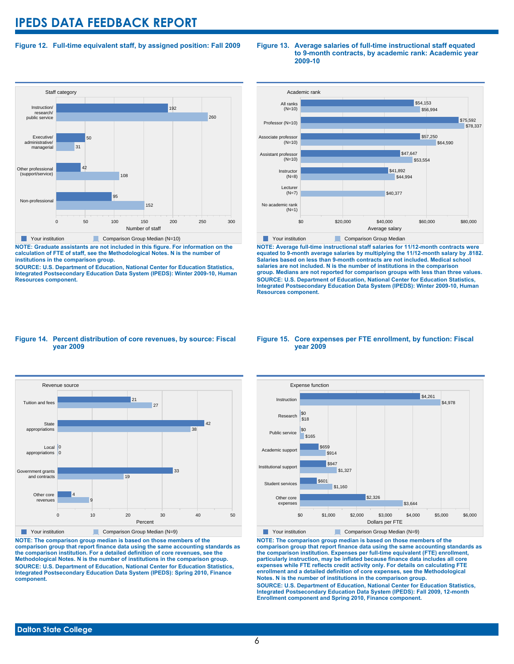### **Figure 12. Full-time equivalent staff, by assigned position: Fall 2009**

#### **Staff category** 0 50 100 150 200 250 300 Number of staff Non-professional Other professional (support/service) Executive/ administrative/ managerial Instruction/ research/ public service 152 95 108 42 31 50 260 192 Your institution Comparison Group Median (N=10)

**NOTE: Graduate assistants are not included in this figure. For information on the calculation of FTE of staff, see the Methodological Notes. N is the number of institutions in the comparison group.**

**SOURCE: U.S. Department of Education, National Center for Education Statistics, Integrated Postsecondary Education Data System (IPEDS): Winter 2009-10, Human Resources component.**

#### **Figure 13. Average salaries of full-time instructional staff equated to 9-month contracts, by academic rank: Academic year 2009-10**



**NOTE: Average full-time instructional staff salaries for 11/12-month contracts were equated to 9-month average salaries by multiplying the 11/12-month salary by .8182. Salaries based on less than 9-month contracts are not included. Medical school salaries are not included. N is the number of institutions in the comparison group. Medians are not reported for comparison groups with less than three values. SOURCE: U.S. Department of Education, National Center for Education Statistics, Integrated Postsecondary Education Data System (IPEDS): Winter 2009-10, Human Resources component.**

#### **Figure 14. Percent distribution of core revenues, by source: Fiscal year 2009**



**NOTE: The comparison group median is based on those members of the comparison group that report finance data using the same accounting standards as the comparison institution. For a detailed definition of core revenues, see the Methodological Notes. N is the number of institutions in the comparison group. SOURCE: U.S. Department of Education, National Center for Education Statistics, Integrated Postsecondary Education Data System (IPEDS): Spring 2010, Finance component.**

#### **Figure 15. Core expenses per FTE enrollment, by function: Fiscal year 2009**



**NOTE: The comparison group median is based on those members of the comparison group that report finance data using the same accounting standards as the comparison institution. Expenses per full-time equivalent (FTE) enrollment, particularly instruction, may be inflated because finance data includes all core expenses while FTE reflects credit activity only. For details on calculating FTE enrollment and a detailed definition of core expenses, see the Methodological Notes. N is the number of institutions in the comparison group. SOURCE: U.S. Department of Education, National Center for Education Statistics, Integrated Postsecondary Education Data System (IPEDS): Fall 2009, 12-month Enrollment component and Spring 2010, Finance component.**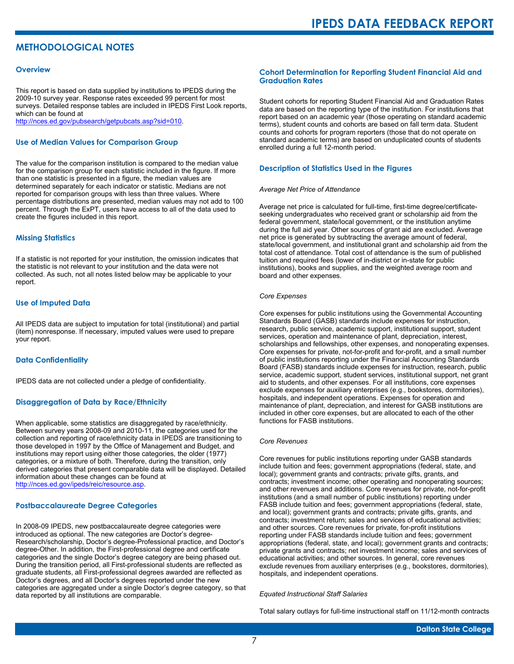# **METHODOLOGICAL NOTES**

#### **Overview**

This report is based on data supplied by institutions to IPEDS during the 2009-10 survey year. Response rates exceeded 99 percent for most surveys. Detailed response tables are included in IPEDS First Look reports, which can be found at [http://nces.ed.gov/pubsearch/getpubcats.asp?sid=010.](http://nces.ed.gov/pubsearch/getpubcats.asp?sid=010)

#### **Use of Median Values for Comparison Group**

The value for the comparison institution is compared to the median value for the comparison group for each statistic included in the figure. If more than one statistic is presented in a figure, the median values are determined separately for each indicator or statistic. Medians are not reported for comparison groups with less than three values. Where percentage distributions are presented, median values may not add to 100 percent. Through the ExPT, users have access to all of the data used to create the figures included in this report.

#### **Missing Statistics**

If a statistic is not reported for your institution, the omission indicates that the statistic is not relevant to your institution and the data were not collected. As such, not all notes listed below may be applicable to your report.

#### **Use of Imputed Data**

All IPEDS data are subject to imputation for total (institutional) and partial (item) nonresponse. If necessary, imputed values were used to prepare your report.

#### **Data Confidentiality**

IPEDS data are not collected under a pledge of confidentiality.

#### **Disaggregation of Data by Race/Ethnicity**

When applicable, some statistics are disaggregated by race/ethnicity. Between survey years 2008-09 and 2010-11, the categories used for the collection and reporting of race/ethnicity data in IPEDS are transitioning to those developed in 1997 by the Office of Management and Budget, and institutions may report using either those categories, the older (1977) categories, or a mixture of both. Therefore, during the transition, only derived categories that present comparable data will be displayed. Detailed information about these changes can be found at <http://nces.ed.gov/ipeds/reic/resource.asp>.

#### **Postbaccalaureate Degree Categories**

In 2008-09 IPEDS, new postbaccalaureate degree categories were introduced as optional. The new categories are Doctor's degree-Research/scholarship, Doctor's degree-Professional practice, and Doctor's degree-Other. In addition, the First-professional degree and certificate categories and the single Doctor's degree category are being phased out. During the transition period, all First-professional students are reflected as graduate students, all First-professional degrees awarded are reflected as Doctor's degrees, and all Doctor's degrees reported under the new categories are aggregated under a single Doctor's degree category, so that data reported by all institutions are comparable.

#### **Cohort Determination for Reporting Student Financial Aid and Graduation Rates**

Student cohorts for reporting Student Financial Aid and Graduation Rates data are based on the reporting type of the institution. For institutions that report based on an academic year (those operating on standard academic terms), student counts and cohorts are based on fall term data. Student counts and cohorts for program reporters (those that do not operate on standard academic terms) are based on unduplicated counts of students enrolled during a full 12-month period.

#### **Description of Statistics Used in the Figures**

#### *Average Net Price of Attendance*

Average net price is calculated for full-time, first-time degree/certificateseeking undergraduates who received grant or scholarship aid from the federal government, state/local government, or the institution anytime during the full aid year. Other sources of grant aid are excluded. Average net price is generated by subtracting the average amount of federal, state/local government, and institutional grant and scholarship aid from the total cost of attendance. Total cost of attendance is the sum of published tuition and required fees (lower of in-district or in-state for public institutions), books and supplies, and the weighted average room and board and other expenses.

#### *Core Expenses*

Core expenses for public institutions using the Governmental Accounting Standards Board (GASB) standards include expenses for instruction, research, public service, academic support, institutional support, student services, operation and maintenance of plant, depreciation, interest, scholarships and fellowships, other expenses, and nonoperating expenses. Core expenses for private, not-for-profit and for-profit, and a small number of public institutions reporting under the Financial Accounting Standards Board (FASB) standards include expenses for instruction, research, public service, academic support, student services, institutional support, net grant aid to students, and other expenses. For all institutions, core expenses exclude expenses for auxiliary enterprises (e.g., bookstores, dormitories), hospitals, and independent operations. Expenses for operation and maintenance of plant, depreciation, and interest for GASB institutions are included in other core expenses, but are allocated to each of the other functions for FASB institutions.

#### *Core Revenues*

Core revenues for public institutions reporting under GASB standards include tuition and fees; government appropriations (federal, state, and local); government grants and contracts; private gifts, grants, and contracts; investment income; other operating and nonoperating sources; and other revenues and additions. Core revenues for private, not-for-profit institutions (and a small number of public institutions) reporting under FASB include tuition and fees; government appropriations (federal, state, and local); government grants and contracts; private gifts, grants, and contracts; investment return; sales and services of educational activities; and other sources. Core revenues for private, for-profit institutions reporting under FASB standards include tuition and fees; government appropriations (federal, state, and local); government grants and contracts; private grants and contracts; net investment income; sales and services of educational activities; and other sources. In general, core revenues exclude revenues from auxiliary enterprises (e.g., bookstores, dormitories), hospitals, and independent operations.

#### *Equated Instructional Staff Salaries*

Total salary outlays for full-time instructional staff on 11/12-month contracts